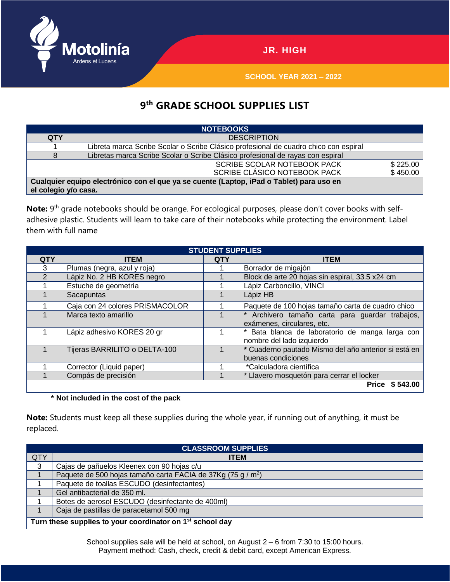

**SCHOOL YEAR 2021 – 2022**

## **9 th GRADE SCHOOL SUPPLIES LIST**

| <b>NOTEBOOKS</b>                                                                         |                                                                                      |          |  |  |  |  |
|------------------------------------------------------------------------------------------|--------------------------------------------------------------------------------------|----------|--|--|--|--|
| <b>QTY</b>                                                                               | <b>DESCRIPTION</b>                                                                   |          |  |  |  |  |
|                                                                                          | Libreta marca Scribe Scolar o Scribe Clásico profesional de cuadro chico con espiral |          |  |  |  |  |
| 8                                                                                        | Libretas marca Scribe Scolar o Scribe Clásico profesional de rayas con espiral       |          |  |  |  |  |
|                                                                                          | <b>SCRIBE SCOLAR NOTEBOOK PACK</b><br>\$225.00                                       |          |  |  |  |  |
|                                                                                          | SCRIBE CLÁSICO NOTEBOOK PACK                                                         | \$450.00 |  |  |  |  |
| Cualquier equipo electrónico con el que ya se cuente (Laptop, iPad o Tablet) para uso en |                                                                                      |          |  |  |  |  |
| el colegio y/o casa.                                                                     |                                                                                      |          |  |  |  |  |

Note: 9<sup>th</sup> grade notebooks should be orange. For ecological purposes, please don't cover books with selfadhesive plastic. Students will learn to take care of their notebooks while protecting the environment. Label them with full name

| <b>STUDENT SUPPLIES</b> |                                 |            |                                                                               |  |  |  |
|-------------------------|---------------------------------|------------|-------------------------------------------------------------------------------|--|--|--|
| <b>QTY</b>              | <b>ITEM</b>                     | <b>QTY</b> | <b>ITEM</b>                                                                   |  |  |  |
| 3                       | Plumas (negra, azul y roja)     |            | Borrador de migajón                                                           |  |  |  |
| $\mathfrak{p}$          | Lápiz No. 2 HB KORES negro      |            | Block de arte 20 hojas sin espiral, 33.5 x24 cm                               |  |  |  |
|                         | Estuche de geometría            |            | Lápiz Carboncillo, VINCI                                                      |  |  |  |
|                         | Sacapuntas                      |            | Lápiz HB                                                                      |  |  |  |
|                         | Caja con 24 colores PRISMACOLOR |            | Paquete de 100 hojas tamaño carta de cuadro chico                             |  |  |  |
|                         | Marca texto amarillo            |            | * Archivero tamaño carta para guardar trabajos,<br>exámenes, circulares, etc. |  |  |  |
|                         | Lápiz adhesivo KORES 20 gr      |            | * Bata blanca de laboratorio de manga larga con<br>nombre del lado izquierdo  |  |  |  |
|                         | Tijeras BARRILITO o DELTA-100   |            | * Cuaderno pautado Mismo del año anterior si está en<br>buenas condiciones    |  |  |  |
|                         | Corrector (Liquid paper)        |            | *Calculadora científica                                                       |  |  |  |
|                         | Compás de precisión             |            | * Llavero mosquetón para cerrar el locker                                     |  |  |  |
|                         |                                 |            | Price \$543.00                                                                |  |  |  |

## **\* Not included in the cost of the pack**

**Note:** Students must keep all these supplies during the whole year, if running out of anything, it must be replaced.

| <b>CLASSROOM SUPPLIES</b>                                             |                                                                          |  |  |  |
|-----------------------------------------------------------------------|--------------------------------------------------------------------------|--|--|--|
| QTY                                                                   | <b>ITEM</b>                                                              |  |  |  |
| 3                                                                     | Cajas de pañuelos Kleenex con 90 hojas c/u                               |  |  |  |
|                                                                       | Paquete de 500 hojas tamaño carta FACIA de 37Kg (75 g / m <sup>2</sup> ) |  |  |  |
|                                                                       | Paquete de toallas ESCUDO (desinfectantes)                               |  |  |  |
|                                                                       | Gel antibacterial de 350 ml.                                             |  |  |  |
|                                                                       | Botes de aerosol ESCUDO (desinfectante de 400ml)                         |  |  |  |
|                                                                       | Caja de pastillas de paracetamol 500 mg                                  |  |  |  |
| Turn these supplies to your coordinator on 1 <sup>st</sup> school day |                                                                          |  |  |  |

School supplies sale will be held at school, on August 2 – 6 from 7:30 to 15:00 hours. Payment method: Cash, check, credit & debit card, except American Express.